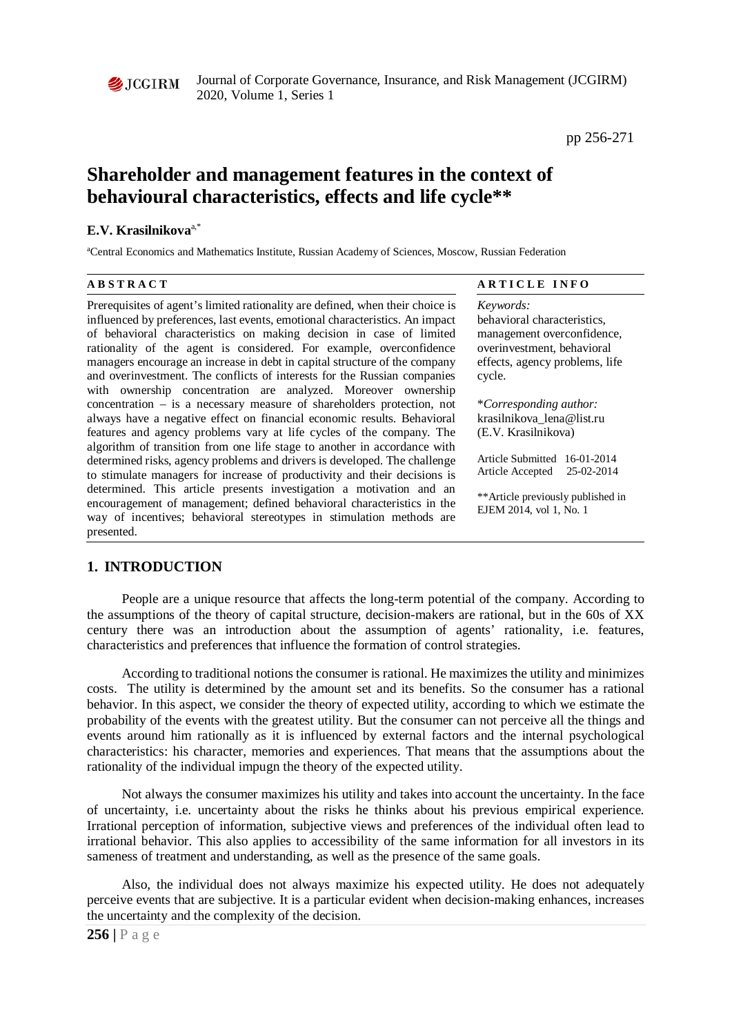

Journal of Corporate Governance, Insurance, and Risk Management (JCGIRM) 2020, Volume 1, Series 1

pp 256-271

# **Shareholder and management features in the context of behavioural characteristics, effects and life cycle\*\***

#### **E.V. Krasilnikova**a,\*

a Central Economics and Mathematics Institute, Russian Academy of Sciences, Moscow, Russian Federation

**A B S T R A C T A R T I C L E I N F O**

Prerequisites of agent's limited rationality are defined, when their choice is influenced by preferences, last events, emotional characteristics. An impact of behavioral characteristics on making decision in case of limited rationality of the agent is considered. For example, overconfidence managers encourage an increase in debt in capital structure of the company and overinvestment. The conflicts of interests for the Russian companies with ownership concentration are analyzed. Moreover ownership concentration – is a necessary measure of shareholders protection, not always have a negative effect on financial economic results. Behavioral features and agency problems vary at life cycles of the company. The algorithm of transition from one life stage to another in accordance with determined risks, agency problems and drivers is developed. The challenge to stimulate managers for increase of productivity and their decisions is determined. This article presents investigation a motivation and an encouragement of management; defined behavioral characteristics in the way of incentives; behavioral stereotypes in stimulation methods are presented.

*Keywords:* behavioral characteristics, management overconfidence, overinvestment, behavioral effects, agency problems, life cycle.

\**Corresponding author:*  krasilnikova\_lena@list.ru (E.V. Krasilnikova)

Article Submitted 16-01-2014 Article Accepted 25-02-2014

\*\*Article previously published in EJEM 2014, vol 1, No. 1

# **1. INTRODUCTION**

People are a unique resource that affects the long-term potential of the company. According to the assumptions of the theory of capital structure, decision-makers are rational, but in the 60s of XX century there was an introduction about the assumption of agents' rationality, i.e. features, characteristics and preferences that influence the formation of control strategies.

According to traditional notions the consumer is rational. He maximizes the utility and minimizes costs. The utility is determined by the amount set and its benefits. So the consumer has a rational behavior. In this aspect, we consider the theory of expected utility, according to which we estimate the probability of the events with the greatest utility. But the consumer can not perceive all the things and events around him rationally as it is influenced by external factors and the internal psychological characteristics: his character, memories and experiences. That means that the assumptions about the rationality of the individual impugn the theory of the expected utility.

Not always the consumer maximizes his utility and takes into account the uncertainty. In the face of uncertainty, i.e. uncertainty about the risks he thinks about his previous empirical experience. Irrational perception of information, subjective views and preferences of the individual often lead to irrational behavior. This also applies to accessibility of the same information for all investors in its sameness of treatment and understanding, as well as the presence of the same goals.

Also, the individual does not always maximize his expected utility. He does not adequately perceive events that are subjective. It is a particular evident when decision-making enhances, increases the uncertainty and the complexity of the decision.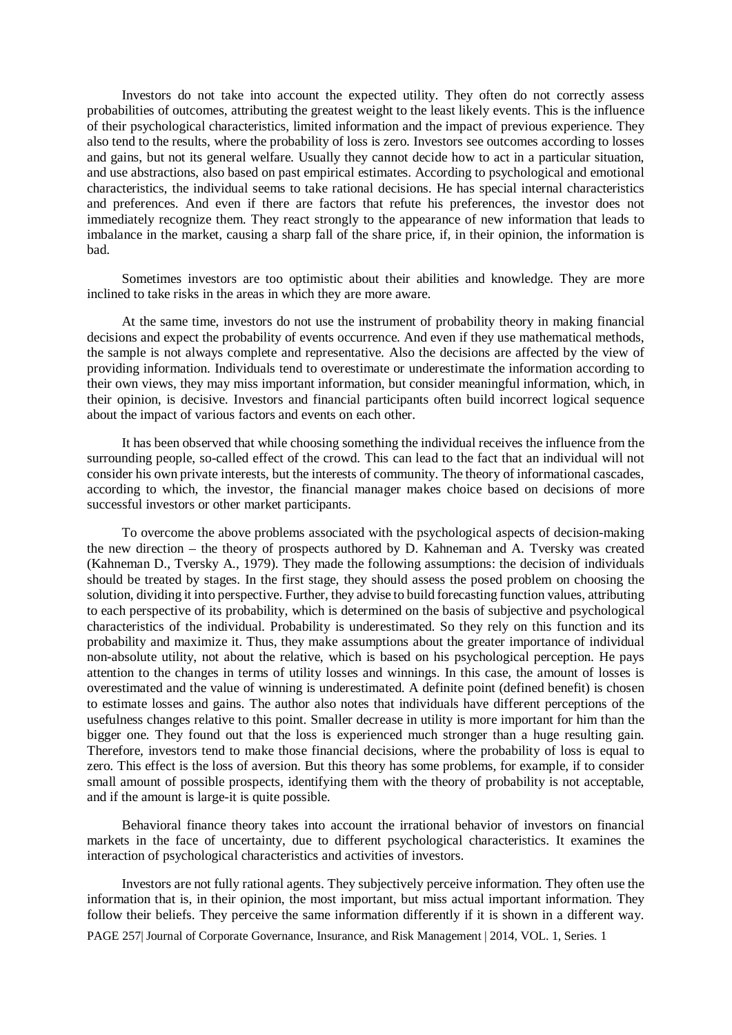Investors do not take into account the expected utility. They often do not correctly assess probabilities of outcomes, attributing the greatest weight to the least likely events. This is the influence of their psychological characteristics, limited information and the impact of previous experience. They also tend to the results, where the probability of loss is zero. Investors see outcomes according to losses and gains, but not its general welfare. Usually they cannot decide how to act in a particular situation, and use abstractions, also based on past empirical estimates. According to psychological and emotional characteristics, the individual seems to take rational decisions. He has special internal characteristics and preferences. And even if there are factors that refute his preferences, the investor does not immediately recognize them. They react strongly to the appearance of new information that leads to imbalance in the market, causing a sharp fall of the share price, if, in their opinion, the information is bad.

Sometimes investors are too optimistic about their abilities and knowledge. They are more inclined to take risks in the areas in which they are more aware.

At the same time, investors do not use the instrument of probability theory in making financial decisions and expect the probability of events occurrence. And even if they use mathematical methods, the sample is not always complete and representative. Also the decisions are affected by the view of providing information. Individuals tend to overestimate or underestimate the information according to their own views, they may miss important information, but consider meaningful information, which, in their opinion, is decisive. Investors and financial participants often build incorrect logical sequence about the impact of various factors and events on each other.

It has been observed that while choosing something the individual receives the influence from the surrounding people, so-called effect of the crowd. This can lead to the fact that an individual will not consider his own private interests, but the interests of community. The theory of informational cascades, according to which, the investor, the financial manager makes choice based on decisions of more successful investors or other market participants.

To overcome the above problems associated with the psychological aspects of decision-making the new direction – the theory of prospects authored by D. Kahneman and A. Tversky was created (Kahneman D., Tversky A., 1979). They made the following assumptions: the decision of individuals should be treated by stages. In the first stage, they should assess the posed problem on choosing the solution, dividing it into perspective. Further, they advise to build forecasting function values, attributing to each perspective of its probability, which is determined on the basis of subjective and psychological characteristics of the individual. Probability is underestimated. So they rely on this function and its probability and maximize it. Thus, they make assumptions about the greater importance of individual non-absolute utility, not about the relative, which is based on his psychological perception. He pays attention to the changes in terms of utility losses and winnings. In this case, the amount of losses is overestimated and the value of winning is underestimated. A definite point (defined benefit) is chosen to estimate losses and gains. The author also notes that individuals have different perceptions of the usefulness changes relative to this point. Smaller decrease in utility is more important for him than the bigger one. They found out that the loss is experienced much stronger than a huge resulting gain. Therefore, investors tend to make those financial decisions, where the probability of loss is equal to zero. This effect is the loss of aversion. But this theory has some problems, for example, if to consider small amount of possible prospects, identifying them with the theory of probability is not acceptable, and if the amount is large-it is quite possible.

Behavioral finance theory takes into account the irrational behavior of investors on financial markets in the face of uncertainty, due to different psychological characteristics. It examines the interaction of psychological characteristics and activities of investors.

PAGE 257| Journal of Corporate Governance, Insurance, and Risk Management | 2014, VOL. 1, Series. 1 Investors are not fully rational agents. They subjectively perceive information. They often use the information that is, in their opinion, the most important, but miss actual important information. They follow their beliefs. They perceive the same information differently if it is shown in a different way.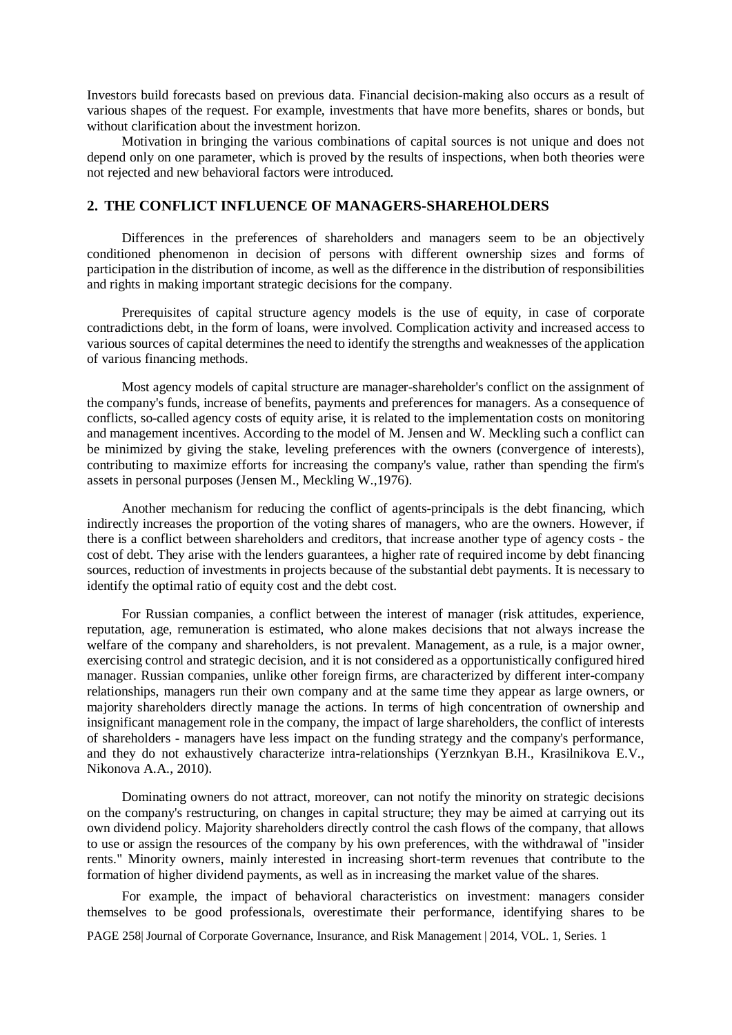Investors build forecasts based on previous data. Financial decision-making also occurs as a result of various shapes of the request. For example, investments that have more benefits, shares or bonds, but without clarification about the investment horizon.

Motivation in bringing the various combinations of capital sources is not unique and does not depend only on one parameter, which is proved by the results of inspections, when both theories were not rejected and new behavioral factors were introduced.

# **2. THE CONFLICT INFLUENCE OF MANAGERS-SHAREHOLDERS**

Differences in the preferences of shareholders and managers seem to be an objectively conditioned phenomenon in decision of persons with different ownership sizes and forms of participation in the distribution of income, as well as the difference in the distribution of responsibilities and rights in making important strategic decisions for the company.

Prerequisites of capital structure agency models is the use of equity, in case of corporate contradictions debt, in the form of loans, were involved. Complication activity and increased access to various sources of capital determines the need to identify the strengths and weaknesses of the application of various financing methods.

Most agency models of capital structure are manager-shareholder's conflict on the assignment of the company's funds, increase of benefits, payments and preferences for managers. As a consequence of conflicts, so-called agency costs of equity arise, it is related to the implementation costs on monitoring and management incentives. According to the model of M. Jensen and W. Meckling such a conflict can be minimized by giving the stake, leveling preferences with the owners (convergence of interests), contributing to maximize efforts for increasing the company's value, rather than spending the firm's assets in personal purposes (Jensen M., Meckling W.,1976).

Another mechanism for reducing the conflict of agents-principals is the debt financing, which indirectly increases the proportion of the voting shares of managers, who are the owners. However, if there is a conflict between shareholders and creditors, that increase another type of agency costs - the cost of debt. They arise with the lenders guarantees, a higher rate of required income by debt financing sources, reduction of investments in projects because of the substantial debt payments. It is necessary to identify the optimal ratio of equity cost and the debt cost.

For Russian companies, a conflict between the interest of manager (risk attitudes, experience, reputation, age, remuneration is estimated, who alone makes decisions that not always increase the welfare of the company and shareholders, is not prevalent. Management, as a rule, is a major owner, exercising control and strategic decision, and it is not considered as a opportunistically configured hired manager. Russian companies, unlike other foreign firms, are characterized by different inter-company relationships, managers run their own company and at the same time they appear as large owners, or majority shareholders directly manage the actions. In terms of high concentration of ownership and insignificant management role in the company, the impact of large shareholders, the conflict of interests of shareholders - managers have less impact on the funding strategy and the company's performance, and they do not exhaustively characterize intra-relationships (Yerznkyan B.H., Krasilnikova E.V., Nikonova A.A., 2010).

Dominating owners do not attract, moreover, can not notify the minority on strategic decisions on the company's restructuring, on changes in capital structure; they may be aimed at carrying out its own dividend policy. Majority shareholders directly control the cash flows of the company, that allows to use or assign the resources of the company by his own preferences, with the withdrawal of "insider rents." Minority owners, mainly interested in increasing short-term revenues that contribute to the formation of higher dividend payments, as well as in increasing the market value of the shares.

For example, the impact of behavioral characteristics on investment: managers consider themselves to be good professionals, overestimate their performance, identifying shares to be

PAGE 258| Journal of Corporate Governance, Insurance, and Risk Management | 2014, VOL. 1, Series. 1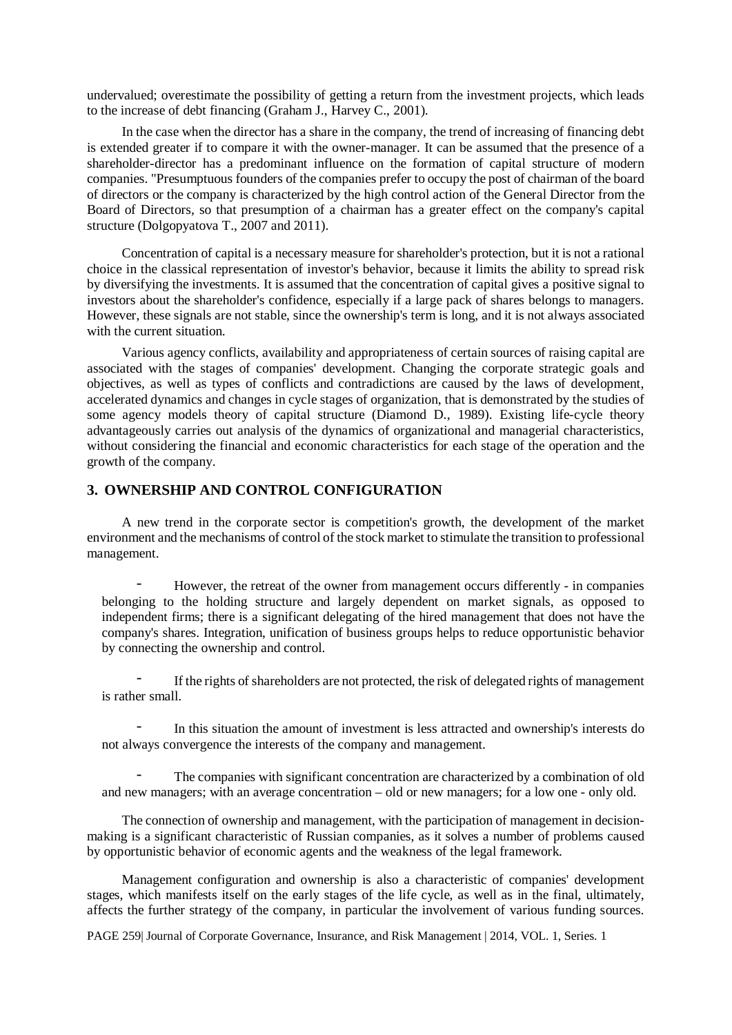undervalued; overestimate the possibility of getting a return from the investment projects, which leads to the increase of debt financing (Graham J., Harvey C., 2001).

In the case when the director has a share in the company, the trend of increasing of financing debt is extended greater if to compare it with the owner-manager. It can be assumed that the presence of a shareholder-director has a predominant influence on the formation of capital structure of modern companies. "Presumptuous founders of the companies prefer to occupy the post of chairman of the board of directors or the company is characterized by the high control action of the General Director from the Board of Directors, so that presumption of a chairman has a greater effect on the company's capital structure (Dolgopyatova T., 2007 and 2011).

Concentration of capital is a necessary measure for shareholder's protection, but it is not a rational choice in the classical representation of investor's behavior, because it limits the ability to spread risk by diversifying the investments. It is assumed that the concentration of capital gives a positive signal to investors about the shareholder's confidence, especially if a large pack of shares belongs to managers. However, these signals are not stable, since the ownership's term is long, and it is not always associated with the current situation.

Various agency conflicts, availability and appropriateness of certain sources of raising capital are associated with the stages of companies' development. Changing the corporate strategic goals and objectives, as well as types of conflicts and contradictions are caused by the laws of development, accelerated dynamics and changes in cycle stages of organization, that is demonstrated by the studies of some agency models theory of capital structure (Diamond D., 1989). Existing life-cycle theory advantageously carries out analysis of the dynamics of organizational and managerial characteristics, without considering the financial and economic characteristics for each stage of the operation and the growth of the company.

## **3. OWNERSHIP AND CONTROL CONFIGURATION**

A new trend in the corporate sector is competition's growth, the development of the market environment and the mechanisms of control of the stock market to stimulate the transition to professional management.

- However, the retreat of the owner from management occurs differently - in companies belonging to the holding structure and largely dependent on market signals, as opposed to independent firms; there is a significant delegating of the hired management that does not have the company's shares. Integration, unification of business groups helps to reduce opportunistic behavior by connecting the ownership and control.

If the rights of shareholders are not protected, the risk of delegated rights of management is rather small.

- In this situation the amount of investment is less attracted and ownership's interests do not always convergence the interests of the company and management.

The companies with significant concentration are characterized by a combination of old and new managers; with an average concentration – old or new managers; for a low one - only old.

The connection of ownership and management, with the participation of management in decisionmaking is a significant characteristic of Russian companies, as it solves a number of problems caused by opportunistic behavior of economic agents and the weakness of the legal framework.

Management configuration and ownership is also a characteristic of companies' development stages, which manifests itself on the early stages of the life cycle, as well as in the final, ultimately, affects the further strategy of the company, in particular the involvement of various funding sources.

PAGE 259| Journal of Corporate Governance, Insurance, and Risk Management | 2014, VOL. 1, Series. 1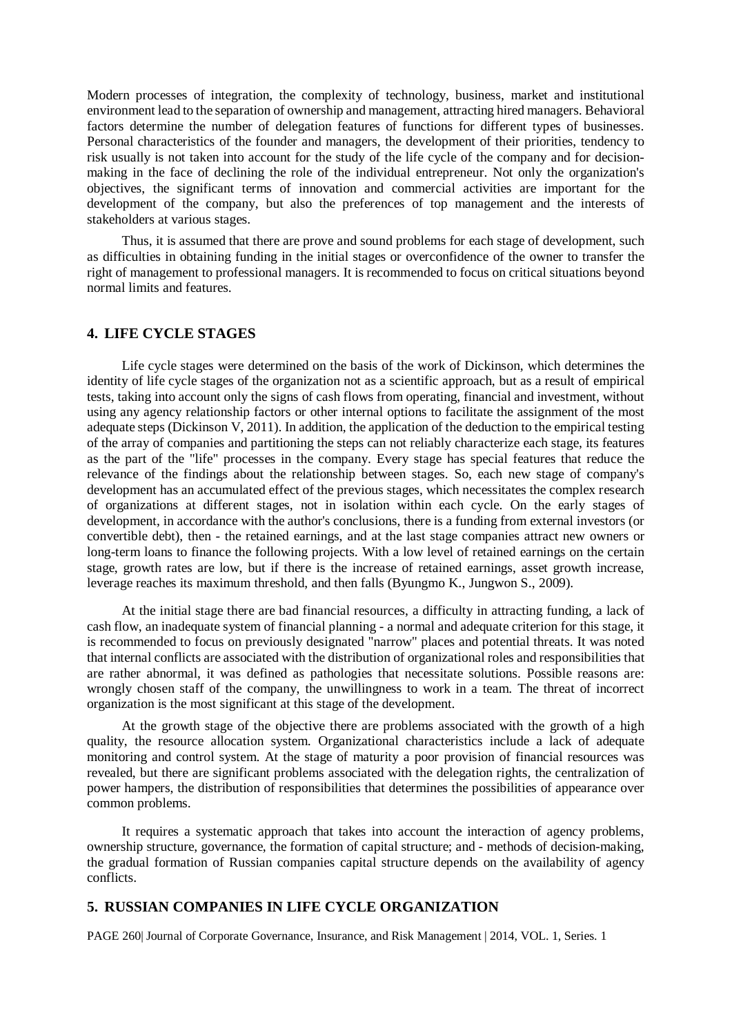Modern processes of integration, the complexity of technology, business, market and institutional environment lead to the separation of ownership and management, attracting hired managers. Behavioral factors determine the number of delegation features of functions for different types of businesses. Personal characteristics of the founder and managers, the development of their priorities, tendency to risk usually is not taken into account for the study of the life cycle of the company and for decisionmaking in the face of declining the role of the individual entrepreneur. Not only the organization's objectives, the significant terms of innovation and commercial activities are important for the development of the company, but also the preferences of top management and the interests of stakeholders at various stages.

Thus, it is assumed that there are prove and sound problems for each stage of development, such as difficulties in obtaining funding in the initial stages or overconfidence of the owner to transfer the right of management to professional managers. It is recommended to focus on critical situations beyond normal limits and features.

# **4. LIFE CYCLE STAGES**

Life cycle stages were determined on the basis of the work of Dickinson, which determines the identity of life cycle stages of the organization not as a scientific approach, but as a result of empirical tests, taking into account only the signs of cash flows from operating, financial and investment, without using any agency relationship factors or other internal options to facilitate the assignment of the most adequate steps (Dickinson V, 2011). In addition, the application of the deduction to the empirical testing of the array of companies and partitioning the steps can not reliably characterize each stage, its features as the part of the "life" processes in the company. Every stage has special features that reduce the relevance of the findings about the relationship between stages. So, each new stage of company's development has an accumulated effect of the previous stages, which necessitates the complex research of organizations at different stages, not in isolation within each cycle. On the early stages of development, in accordance with the author's conclusions, there is a funding from external investors (or convertible debt), then - the retained earnings, and at the last stage companies attract new owners or long-term loans to finance the following projects. With a low level of retained earnings on the certain stage, growth rates are low, but if there is the increase of retained earnings, asset growth increase, leverage reaches its maximum threshold, and then falls (Byungmo K., Jungwon S., 2009).

At the initial stage there are bad financial resources, a difficulty in attracting funding, a lack of cash flow, an inadequate system of financial planning - a normal and adequate criterion for this stage, it is recommended to focus on previously designated "narrow" places and potential threats. It was noted that internal conflicts are associated with the distribution of organizational roles and responsibilities that are rather abnormal, it was defined as pathologies that necessitate solutions. Possible reasons are: wrongly chosen staff of the company, the unwillingness to work in a team. The threat of incorrect organization is the most significant at this stage of the development.

At the growth stage of the objective there are problems associated with the growth of a high quality, the resource allocation system. Organizational characteristics include a lack of adequate monitoring and control system. At the stage of maturity a poor provision of financial resources was revealed, but there are significant problems associated with the delegation rights, the centralization of power hampers, the distribution of responsibilities that determines the possibilities of appearance over common problems.

It requires a systematic approach that takes into account the interaction of agency problems, ownership structure, governance, the formation of capital structure; and - methods of decision-making, the gradual formation of Russian companies capital structure depends on the availability of agency conflicts.

# **5. RUSSIAN COMPANIES IN LIFE CYCLE ORGANIZATION**

PAGE 260| Journal of Corporate Governance, Insurance, and Risk Management | 2014, VOL. 1, Series. 1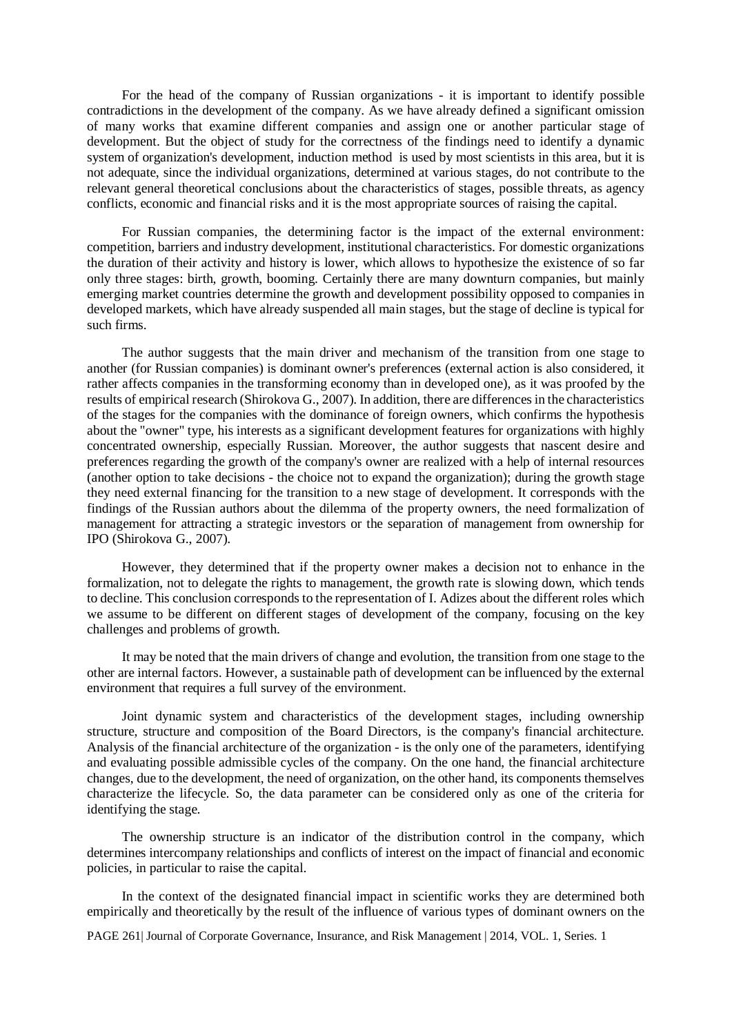For the head of the company of Russian organizations - it is important to identify possible contradictions in the development of the company. As we have already defined a significant omission of many works that examine different companies and assign one or another particular stage of development. But the object of study for the correctness of the findings need to identify a dynamic system of organization's development, induction method is used by most scientists in this area, but it is not adequate, since the individual organizations, determined at various stages, do not contribute to the relevant general theoretical conclusions about the characteristics of stages, possible threats, as agency conflicts, economic and financial risks and it is the most appropriate sources of raising the capital.

For Russian companies, the determining factor is the impact of the external environment: competition, barriers and industry development, institutional characteristics. For domestic organizations the duration of their activity and history is lower, which allows to hypothesize the existence of so far only three stages: birth, growth, booming. Certainly there are many downturn companies, but mainly emerging market countries determine the growth and development possibility opposed to companies in developed markets, which have already suspended all main stages, but the stage of decline is typical for such firms.

The author suggests that the main driver and mechanism of the transition from one stage to another (for Russian companies) is dominant owner's preferences (external action is also considered, it rather affects companies in the transforming economy than in developed one), as it was proofed by the results of empirical research (Shirokova G., 2007). In addition, there are differences in the characteristics of the stages for the companies with the dominance of foreign owners, which confirms the hypothesis about the "owner" type, his interests as a significant development features for organizations with highly concentrated ownership, especially Russian. Moreover, the author suggests that nascent desire and preferences regarding the growth of the company's owner are realized with a help of internal resources (another option to take decisions - the choice not to expand the organization); during the growth stage they need external financing for the transition to a new stage of development. It corresponds with the findings of the Russian authors about the dilemma of the property owners, the need formalization of management for attracting a strategic investors or the separation of management from ownership for IPO (Shirokova G., 2007).

However, they determined that if the property owner makes a decision not to enhance in the formalization, not to delegate the rights to management, the growth rate is slowing down, which tends to decline. This conclusion corresponds to the representation of I. Adizes about the different roles which we assume to be different on different stages of development of the company, focusing on the key challenges and problems of growth.

It may be noted that the main drivers of change and evolution, the transition from one stage to the other are internal factors. However, a sustainable path of development can be influenced by the external environment that requires a full survey of the environment.

Joint dynamic system and characteristics of the development stages, including ownership structure, structure and composition of the Board Directors, is the company's financial architecture. Analysis of the financial architecture of the organization - is the only one of the parameters, identifying and evaluating possible admissible cycles of the company. On the one hand, the financial architecture changes, due to the development, the need of organization, on the other hand, its components themselves characterize the lifecycle. So, the data parameter can be considered only as one of the criteria for identifying the stage.

The ownership structure is an indicator of the distribution control in the company, which determines intercompany relationships and conflicts of interest on the impact of financial and economic policies, in particular to raise the capital.

In the context of the designated financial impact in scientific works they are determined both empirically and theoretically by the result of the influence of various types of dominant owners on the

PAGE 261| Journal of Corporate Governance, Insurance, and Risk Management | 2014, VOL. 1, Series. 1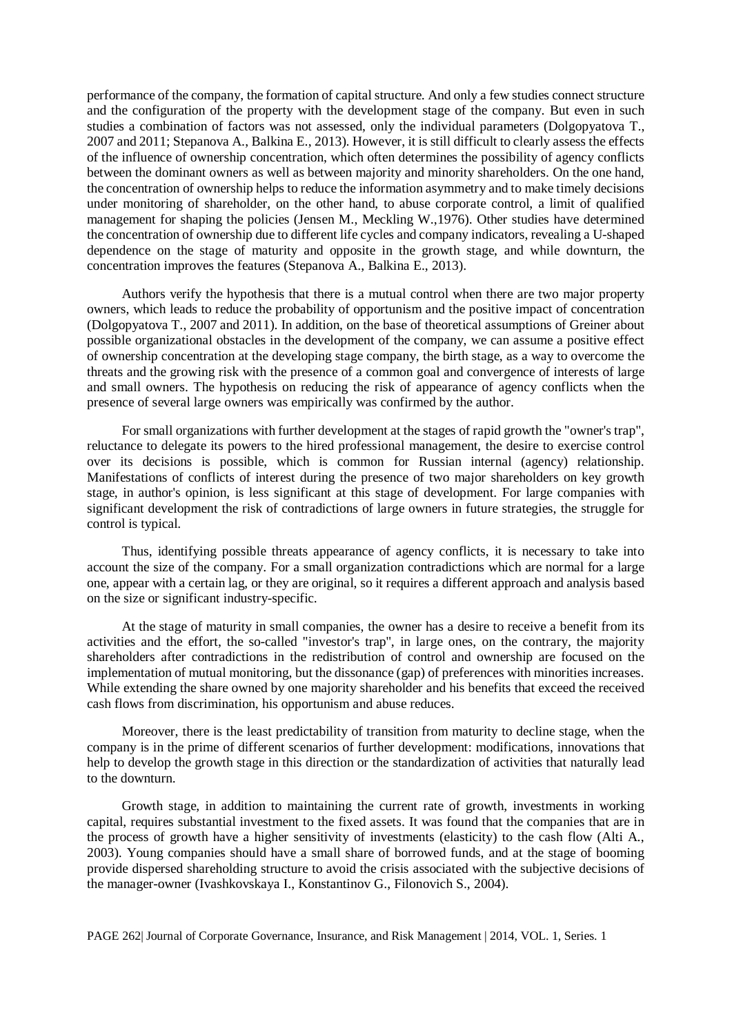performance of the company, the formation of capital structure. And only a few studies connect structure and the configuration of the property with the development stage of the company. But even in such studies a combination of factors was not assessed, only the individual parameters (Dolgopyatova T., 2007 and 2011; Stepanova A., Balkina E., 2013). However, it is still difficult to clearly assess the effects of the influence of ownership concentration, which often determines the possibility of agency conflicts between the dominant owners as well as between majority and minority shareholders. On the one hand, the concentration of ownership helps to reduce the information asymmetry and to make timely decisions under monitoring of shareholder, on the other hand, to abuse corporate control, a limit of qualified management for shaping the policies (Jensen M., Meckling W.,1976). Other studies have determined the concentration of ownership due to different life cycles and company indicators, revealing a U-shaped dependence on the stage of maturity and opposite in the growth stage, and while downturn, the concentration improves the features (Stepanova A., Balkina E., 2013).

Authors verify the hypothesis that there is a mutual control when there are two major property owners, which leads to reduce the probability of opportunism and the positive impact of concentration (Dolgopyatova T., 2007 and 2011). In addition, on the base of theoretical assumptions of Greiner about possible organizational obstacles in the development of the company, we can assume a positive effect of ownership concentration at the developing stage company, the birth stage, as a way to overcome the threats and the growing risk with the presence of a common goal and convergence of interests of large and small owners. The hypothesis on reducing the risk of appearance of agency conflicts when the presence of several large owners was empirically was confirmed by the author.

For small organizations with further development at the stages of rapid growth the "owner's trap", reluctance to delegate its powers to the hired professional management, the desire to exercise control over its decisions is possible, which is common for Russian internal (agency) relationship. Manifestations of conflicts of interest during the presence of two major shareholders on key growth stage, in author's opinion, is less significant at this stage of development. For large companies with significant development the risk of contradictions of large owners in future strategies, the struggle for control is typical.

Thus, identifying possible threats appearance of agency conflicts, it is necessary to take into account the size of the company. For a small organization contradictions which are normal for a large one, appear with a certain lag, or they are original, so it requires a different approach and analysis based on the size or significant industry-specific.

At the stage of maturity in small companies, the owner has a desire to receive a benefit from its activities and the effort, the so-called "investor's trap", in large ones, on the contrary, the majority shareholders after contradictions in the redistribution of control and ownership are focused on the implementation of mutual monitoring, but the dissonance (gap) of preferences with minorities increases. While extending the share owned by one majority shareholder and his benefits that exceed the received cash flows from discrimination, his opportunism and abuse reduces.

Moreover, there is the least predictability of transition from maturity to decline stage, when the company is in the prime of different scenarios of further development: modifications, innovations that help to develop the growth stage in this direction or the standardization of activities that naturally lead to the downturn.

Growth stage, in addition to maintaining the current rate of growth, investments in working capital, requires substantial investment to the fixed assets. It was found that the companies that are in the process of growth have a higher sensitivity of investments (elasticity) to the cash flow (Alti A., 2003). Young companies should have a small share of borrowed funds, and at the stage of booming provide dispersed shareholding structure to avoid the crisis associated with the subjective decisions of the manager-owner (Ivashkovskaya I., Konstantinov G., Filonovich S., 2004).

PAGE 262| Journal of Corporate Governance, Insurance, and Risk Management | 2014, VOL. 1, Series. 1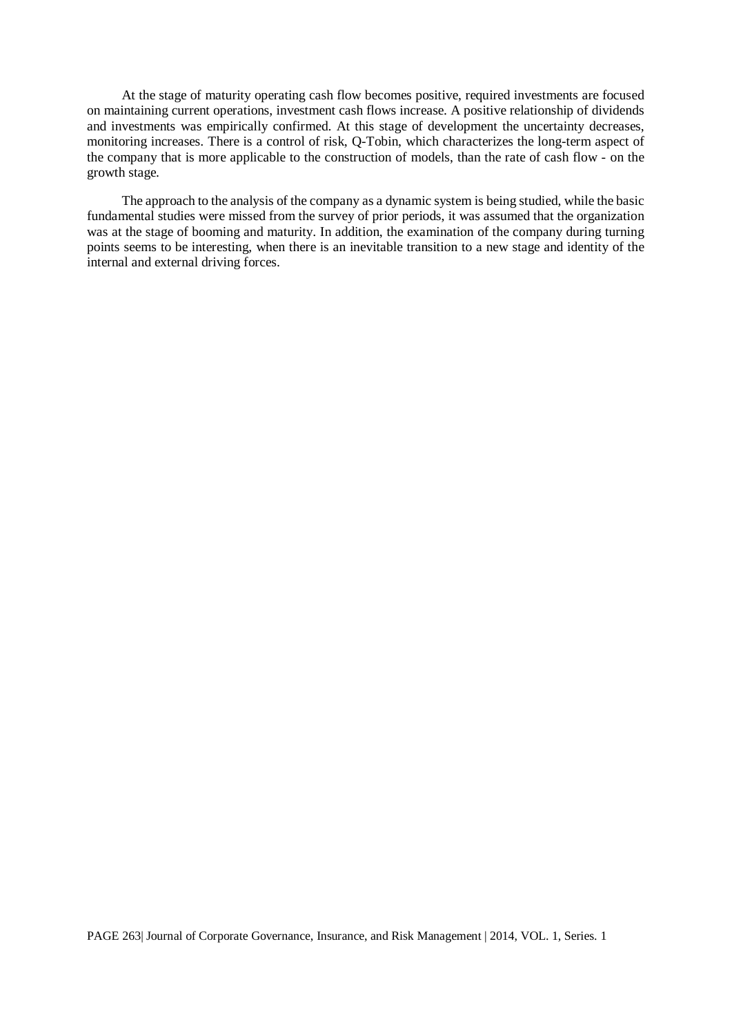At the stage of maturity operating cash flow becomes positive, required investments are focused on maintaining current operations, investment cash flows increase. A positive relationship of dividends and investments was empirically confirmed. At this stage of development the uncertainty decreases, monitoring increases. There is a control of risk, Q-Tobin, which characterizes the long-term aspect of the company that is more applicable to the construction of models, than the rate of cash flow - on the growth stage.

The approach to the analysis of the company as a dynamic system is being studied, while the basic fundamental studies were missed from the survey of prior periods, it was assumed that the organization was at the stage of booming and maturity. In addition, the examination of the company during turning points seems to be interesting, when there is an inevitable transition to a new stage and identity of the internal and external driving forces.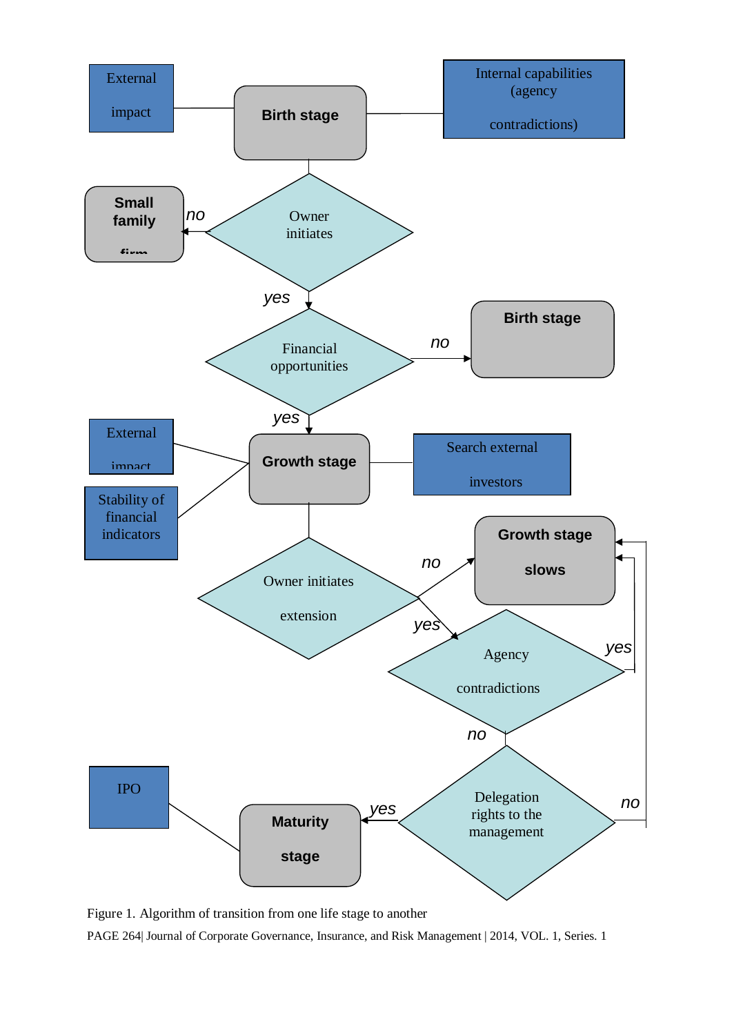

Figure 1. Algorithm of transition from one life stage to another

PAGE 264| Journal of Corporate Governance, Insurance, and Risk Management | 2014, VOL. 1, Series. 1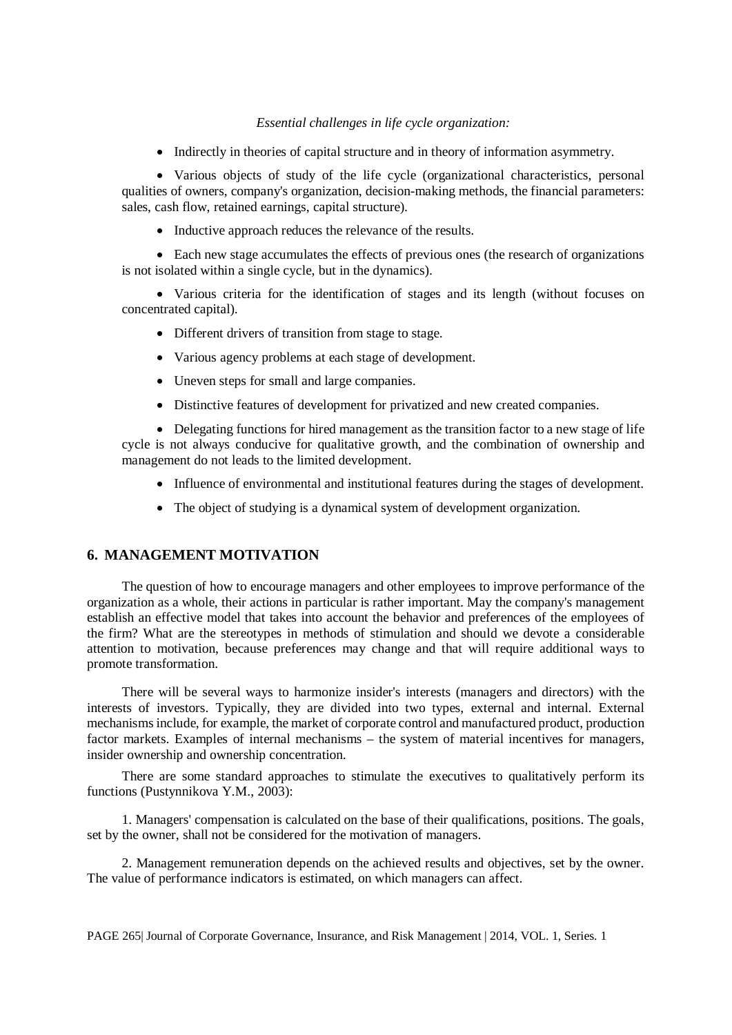## *Essential challenges in life cycle organization:*

• Indirectly in theories of capital structure and in theory of information asymmetry.

• Various objects of study of the life cycle (organizational characteristics, personal qualities of owners, company's organization, decision-making methods, the financial parameters: sales, cash flow, retained earnings, capital structure).

• Inductive approach reduces the relevance of the results.

• Each new stage accumulates the effects of previous ones (the research of organizations is not isolated within a single cycle, but in the dynamics).

• Various criteria for the identification of stages and its length (without focuses on concentrated capital).

- Different drivers of transition from stage to stage.
- Various agency problems at each stage of development.
- Uneven steps for small and large companies.
- Distinctive features of development for privatized and new created companies.

• Delegating functions for hired management as the transition factor to a new stage of life cycle is not always conducive for qualitative growth, and the combination of ownership and management do not leads to the limited development.

- Influence of environmental and institutional features during the stages of development.
- The object of studying is a dynamical system of development organization.

# **6. MANAGEMENT MOTIVATION**

The question of how to encourage managers and other employees to improve performance of the organization as a whole, their actions in particular is rather important. May the company's management establish an effective model that takes into account the behavior and preferences of the employees of the firm? What are the stereotypes in methods of stimulation and should we devote a considerable attention to motivation, because preferences may change and that will require additional ways to promote transformation.

There will be several ways to harmonize insider's interests (managers and directors) with the interests of investors. Typically, they are divided into two types, external and internal. External mechanisms include, for example, the market of corporate control and manufactured product, production factor markets. Examples of internal mechanisms – the system of material incentives for managers, insider ownership and ownership concentration.

There are some standard approaches to stimulate the executives to qualitatively perform its functions (Pustynnikova Y.M., 2003):

1. Managers' compensation is calculated on the base of their qualifications, positions. The goals, set by the owner, shall not be considered for the motivation of managers.

2. Management remuneration depends on the achieved results and objectives, set by the owner. The value of performance indicators is estimated, on which managers can affect.

PAGE 265| Journal of Corporate Governance, Insurance, and Risk Management | 2014, VOL. 1, Series. 1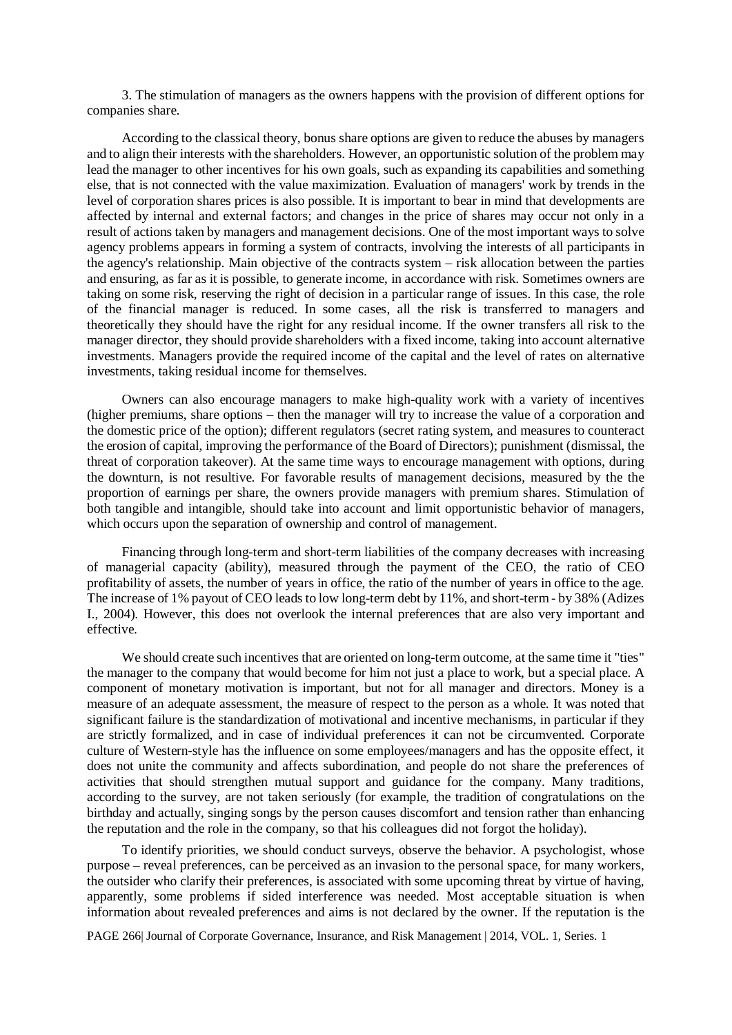3. The stimulation of managers as the owners happens with the provision of different options for companies share.

According to the classical theory, bonus share options are given to reduce the abuses by managers and to align their interests with the shareholders. However, an opportunistic solution of the problem may lead the manager to other incentives for his own goals, such as expanding its capabilities and something else, that is not connected with the value maximization. Evaluation of managers' work by trends in the level of corporation shares prices is also possible. It is important to bear in mind that developments are affected by internal and external factors; and changes in the price of shares may occur not only in a result of actions taken by managers and management decisions. One of the most important ways to solve agency problems appears in forming a system of contracts, involving the interests of all participants in the agency's relationship. Main objective of the contracts system – risk allocation between the parties and ensuring, as far as it is possible, to generate income, in accordance with risk. Sometimes owners are taking on some risk, reserving the right of decision in a particular range of issues. In this case, the role of the financial manager is reduced. In some cases, all the risk is transferred to managers and theoretically they should have the right for any residual income. If the owner transfers all risk to the manager director, they should provide shareholders with a fixed income, taking into account alternative investments. Managers provide the required income of the capital and the level of rates on alternative investments, taking residual income for themselves.

Owners can also encourage managers to make high-quality work with a variety of incentives (higher premiums, share options – then the manager will try to increase the value of a corporation and the domestic price of the option); different regulators (secret rating system, and measures to counteract the erosion of capital, improving the performance of the Board of Directors); punishment (dismissal, the threat of corporation takeover). At the same time ways to encourage management with options, during the downturn, is not resultive. For favorable results of management decisions, measured by the the proportion of earnings per share, the owners provide managers with premium shares. Stimulation of both tangible and intangible, should take into account and limit opportunistic behavior of managers, which occurs upon the separation of ownership and control of management.

Financing through long-term and short-term liabilities of the company decreases with increasing of managerial capacity (ability), measured through the payment of the CEO, the ratio of CEO profitability of assets, the number of years in office, the ratio of the number of years in office to the age. The increase of 1% payout of CEO leads to low long-term debt by 11%, and short-term - by 38% (Adizes I., 2004). However, this does not overlook the internal preferences that are also very important and effective.

We should create such incentives that are oriented on long-term outcome, at the same time it "ties" the manager to the company that would become for him not just a place to work, but a special place. A component of monetary motivation is important, but not for all manager and directors. Money is a measure of an adequate assessment, the measure of respect to the person as a whole. It was noted that significant failure is the standardization of motivational and incentive mechanisms, in particular if they are strictly formalized, and in case of individual preferences it can not be circumvented. Corporate culture of Western-style has the influence on some employees/managers and has the opposite effect, it does not unite the community and affects subordination, and people do not share the preferences of activities that should strengthen mutual support and guidance for the company. Many traditions, according to the survey, are not taken seriously (for example, the tradition of congratulations on the birthday and actually, singing songs by the person causes discomfort and tension rather than enhancing the reputation and the role in the company, so that his colleagues did not forgot the holiday).

To identify priorities, we should conduct surveys, observe the behavior. A psychologist, whose purpose – reveal preferences, can be perceived as an invasion to the personal space, for many workers, the outsider who clarify their preferences, is associated with some upcoming threat by virtue of having, apparently, some problems if sided interference was needed. Most acceptable situation is when information about revealed preferences and aims is not declared by the owner. If the reputation is the

PAGE 266| Journal of Corporate Governance, Insurance, and Risk Management | 2014, VOL. 1, Series. 1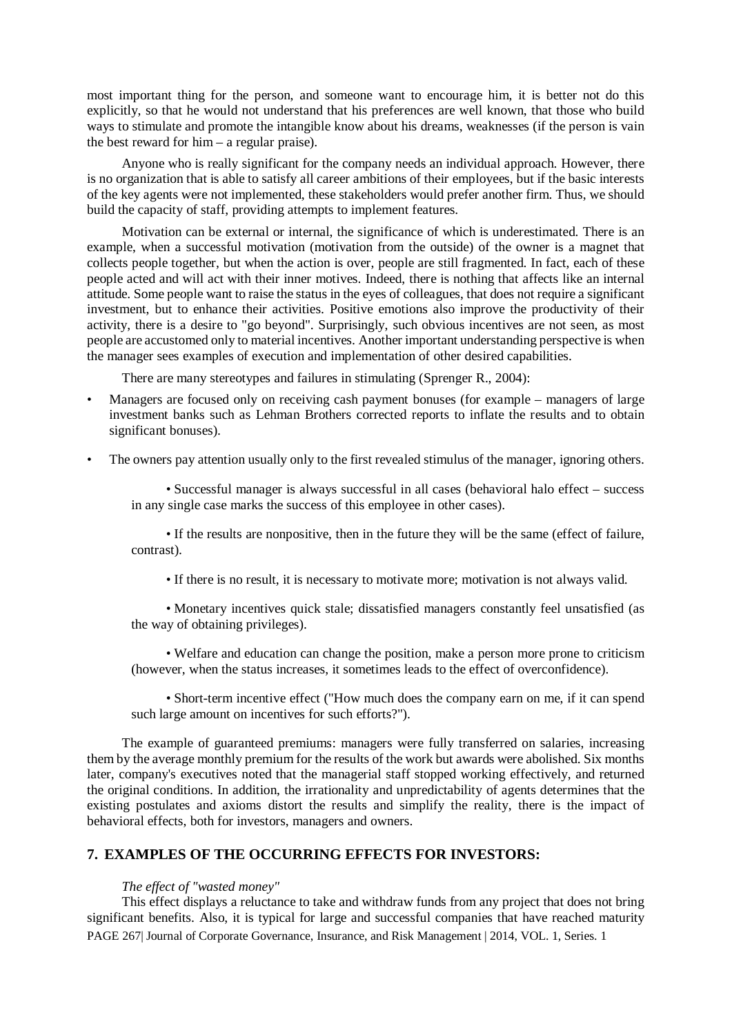most important thing for the person, and someone want to encourage him, it is better not do this explicitly, so that he would not understand that his preferences are well known, that those who build ways to stimulate and promote the intangible know about his dreams, weaknesses (if the person is vain the best reward for him – a regular praise).

Anyone who is really significant for the company needs an individual approach. However, there is no organization that is able to satisfy all career ambitions of their employees, but if the basic interests of the key agents were not implemented, these stakeholders would prefer another firm. Thus, we should build the capacity of staff, providing attempts to implement features.

Motivation can be external or internal, the significance of which is underestimated. There is an example, when a successful motivation (motivation from the outside) of the owner is a magnet that collects people together, but when the action is over, people are still fragmented. In fact, each of these people acted and will act with their inner motives. Indeed, there is nothing that affects like an internal attitude. Some people want to raise the status in the eyes of colleagues, that does not require a significant investment, but to enhance their activities. Positive emotions also improve the productivity of their activity, there is a desire to "go beyond". Surprisingly, such obvious incentives are not seen, as most people are accustomed only to material incentives. Another important understanding perspective is when the manager sees examples of execution and implementation of other desired capabilities.

There are many stereotypes and failures in stimulating (Sprenger R., 2004):

- Managers are focused only on receiving cash payment bonuses (for example managers of large investment banks such as Lehman Brothers corrected reports to inflate the results and to obtain significant bonuses).
- The owners pay attention usually only to the first revealed stimulus of the manager, ignoring others.

• Successful manager is always successful in all cases (behavioral halo effect – success in any single case marks the success of this employee in other cases).

• If the results are nonpositive, then in the future they will be the same (effect of failure, contrast).

• If there is no result, it is necessary to motivate more; motivation is not always valid.

• Monetary incentives quick stale; dissatisfied managers constantly feel unsatisfied (as the way of obtaining privileges).

• Welfare and education can change the position, make a person more prone to criticism (however, when the status increases, it sometimes leads to the effect of overconfidence).

• Short-term incentive effect ("How much does the company earn on me, if it can spend such large amount on incentives for such efforts?").

The example of guaranteed premiums: managers were fully transferred on salaries, increasing them by the average monthly premium for the results of the work but awards were abolished. Six months later, company's executives noted that the managerial staff stopped working effectively, and returned the original conditions. In addition, the irrationality and unpredictability of agents determines that the existing postulates and axioms distort the results and simplify the reality, there is the impact of behavioral effects, both for investors, managers and owners.

# **7. EXAMPLES OF THE OCCURRING EFFECTS FOR INVESTORS:**

#### *The effect of "wasted money"*

PAGE 267| Journal of Corporate Governance, Insurance, and Risk Management | 2014, VOL. 1, Series. 1 This effect displays a reluctance to take and withdraw funds from any project that does not bring significant benefits. Also, it is typical for large and successful companies that have reached maturity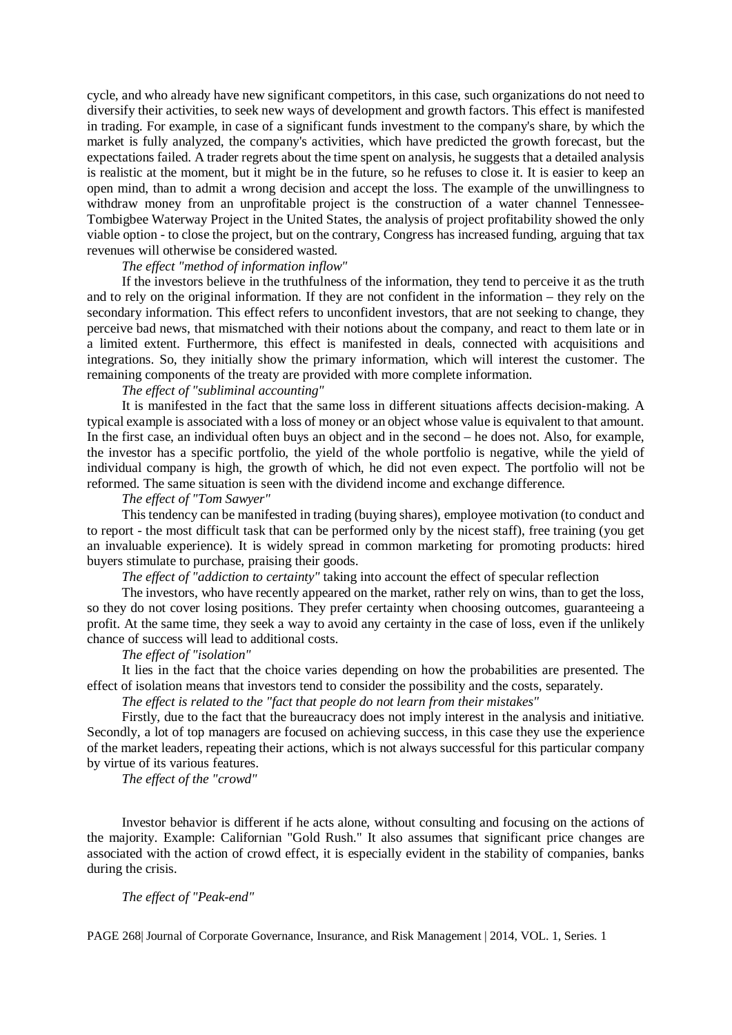cycle, and who already have new significant competitors, in this case, such organizations do not need to diversify their activities, to seek new ways of development and growth factors. This effect is manifested in trading. For example, in case of a significant funds investment to the company's share, by which the market is fully analyzed, the company's activities, which have predicted the growth forecast, but the expectations failed. A trader regrets about the time spent on analysis, he suggests that a detailed analysis is realistic at the moment, but it might be in the future, so he refuses to close it. It is easier to keep an open mind, than to admit a wrong decision and accept the loss. The example of the unwillingness to withdraw money from an unprofitable project is the construction of a water channel Tennessee-Tombigbee Waterway Project in the United States, the analysis of project profitability showed the only viable option - to close the project, but on the contrary, Congress has increased funding, arguing that tax revenues will otherwise be considered wasted.

#### *The effect "method of information inflow"*

If the investors believe in the truthfulness of the information, they tend to perceive it as the truth and to rely on the original information. If they are not confident in the information – they rely on the secondary information. This effect refers to unconfident investors, that are not seeking to change, they perceive bad news, that mismatched with their notions about the company, and react to them late or in a limited extent. Furthermore, this effect is manifested in deals, connected with acquisitions and integrations. So, they initially show the primary information, which will interest the customer. The remaining components of the treaty are provided with more complete information.

#### *The effect of "subliminal accounting"*

It is manifested in the fact that the same loss in different situations affects decision-making. A typical example is associated with a loss of money or an object whose value is equivalent to that amount. In the first case, an individual often buys an object and in the second – he does not. Also, for example, the investor has a specific portfolio, the yield of the whole portfolio is negative, while the yield of individual company is high, the growth of which, he did not even expect. The portfolio will not be reformed. The same situation is seen with the dividend income and exchange difference.

#### *The effect of "Tom Sawyer"*

This tendency can be manifested in trading (buying shares), employee motivation (to conduct and to report - the most difficult task that can be performed only by the nicest staff), free training (you get an invaluable experience). It is widely spread in common marketing for promoting products: hired buyers stimulate to purchase, praising their goods.

*The effect of "addiction to certainty"* taking into account the effect of specular reflection

The investors, who have recently appeared on the market, rather rely on wins, than to get the loss, so they do not cover losing positions. They prefer certainty when choosing outcomes, guaranteeing a profit. At the same time, they seek a way to avoid any certainty in the case of loss, even if the unlikely chance of success will lead to additional costs.

# *The effect of "isolation"*

It lies in the fact that the choice varies depending on how the probabilities are presented. The effect of isolation means that investors tend to consider the possibility and the costs, separately.

*The effect is related to the "fact that people do not learn from their mistakes"*

Firstly, due to the fact that the bureaucracy does not imply interest in the analysis and initiative. Secondly, a lot of top managers are focused on achieving success, in this case they use the experience of the market leaders, repeating their actions, which is not always successful for this particular company by virtue of its various features.

*The effect of the "crowd"*

Investor behavior is different if he acts alone, without consulting and focusing on the actions of the majority. Example: Californian "Gold Rush." It also assumes that significant price changes are associated with the action of crowd effect, it is especially evident in the stability of companies, banks during the crisis.

#### *The effect of "Peak-end"*

PAGE 268| Journal of Corporate Governance, Insurance, and Risk Management | 2014, VOL. 1, Series. 1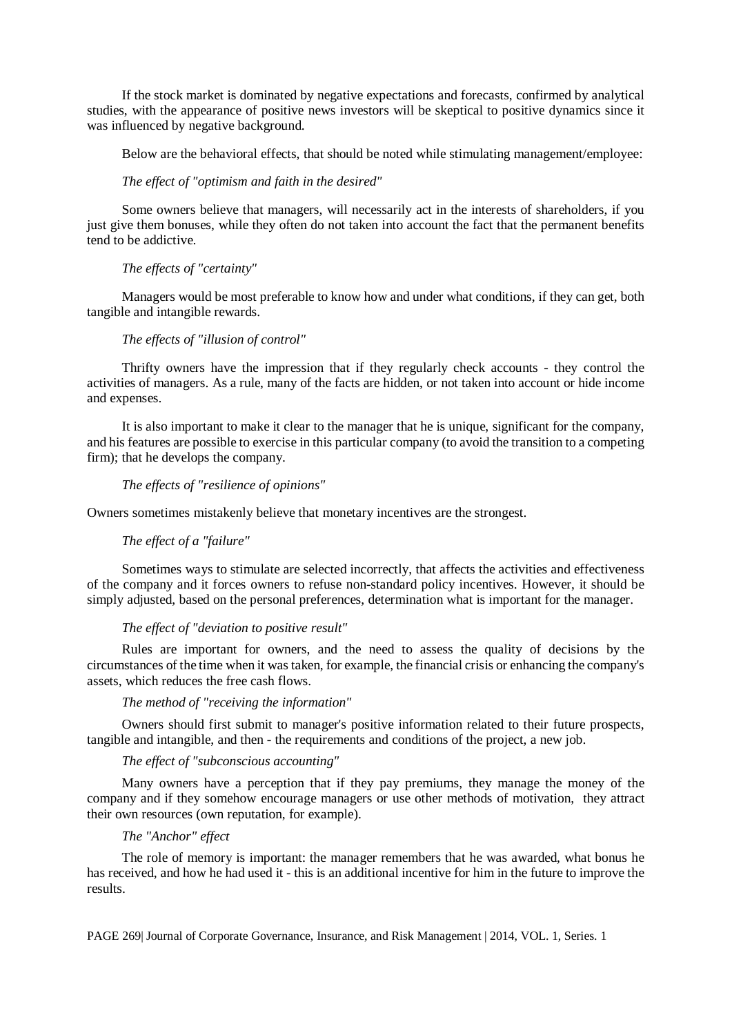If the stock market is dominated by negative expectations and forecasts, confirmed by analytical studies, with the appearance of positive news investors will be skeptical to positive dynamics since it was influenced by negative background.

Below are the behavioral effects, that should be noted while stimulating management/employee:

## *The effect of "optimism and faith in the desired"*

Some owners believe that managers, will necessarily act in the interests of shareholders, if you just give them bonuses, while they often do not taken into account the fact that the permanent benefits tend to be addictive.

# *The effects of "certainty"*

Managers would be most preferable to know how and under what conditions, if they can get, both tangible and intangible rewards.

#### *The effects of "illusion of control"*

Thrifty owners have the impression that if they regularly check accounts - they control the activities of managers. As a rule, many of the facts are hidden, or not taken into account or hide income and expenses.

It is also important to make it clear to the manager that he is unique, significant for the company, and his features are possible to exercise in this particular company (to avoid the transition to a competing firm); that he develops the company.

#### *The effects of "resilience of opinions"*

Owners sometimes mistakenly believe that monetary incentives are the strongest.

# *The effect of a "failure"*

Sometimes ways to stimulate are selected incorrectly, that affects the activities and effectiveness of the company and it forces owners to refuse non-standard policy incentives. However, it should be simply adjusted, based on the personal preferences, determination what is important for the manager.

#### *The effect of "deviation to positive result"*

Rules are important for owners, and the need to assess the quality of decisions by the circumstances of the time when it was taken, for example, the financial crisis or enhancing the company's assets, which reduces the free cash flows.

#### *The method of "receiving the information"*

Owners should first submit to manager's positive information related to their future prospects, tangible and intangible, and then - the requirements and conditions of the project, a new job.

### *The effect of "subconscious accounting"*

Many owners have a perception that if they pay premiums, they manage the money of the company and if they somehow encourage managers or use other methods of motivation, they attract their own resources (own reputation, for example).

#### *The "Anchor" effect*

The role of memory is important: the manager remembers that he was awarded, what bonus he has received, and how he had used it - this is an additional incentive for him in the future to improve the results.

PAGE 269| Journal of Corporate Governance, Insurance, and Risk Management | 2014, VOL. 1, Series. 1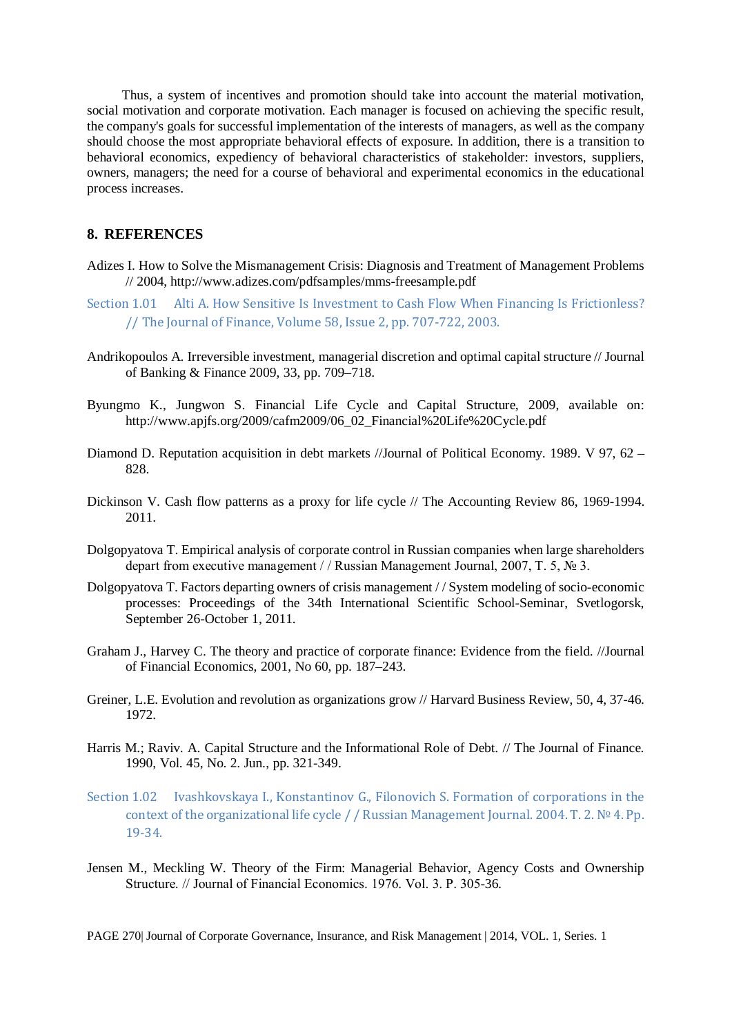Thus, a system of incentives and promotion should take into account the material motivation, social motivation and corporate motivation. Each manager is focused on achieving the specific result, the company's goals for successful implementation of the interests of managers, as well as the company should choose the most appropriate behavioral effects of exposure. In addition, there is a transition to behavioral economics, expediency of behavioral characteristics of stakeholder: investors, suppliers, owners, managers; the need for a course of behavioral and experimental economics in the educational process increases.

#### **8. REFERENCES**

- Adizes I. How to Solve the Mismanagement Crisis: Diagnosis and Treatment of Management Problems // 2004, http://www.adizes.com/pdfsamples/mms-freesample.pdf
- Section 1.01 Alti A. How Sensitive Is Investment to Cash Flow When Financing Is Frictionless? // The Journal of Finance, Volume 58, Issue 2, pp. 707-722, 2003.
- Andrikopoulos A. Irreversible investment, managerial discretion and optimal capital structure // Journal of Banking & Finance 2009, 33, pp. 709–718.
- Byungmo K., Jungwon S. Financial Life Cycle and Capital Structure, 2009, available on: http://www.apjfs.org/2009/cafm2009/06\_02\_Financial%20Life%20Cycle.pdf
- Diamond D. Reputation acquisition in debt markets //Journal of Political Economy. 1989. V 97, 62 828.
- Dickinson V. Cash flow patterns as a proxy for life cycle // The Accounting Review 86, 1969-1994. 2011.
- Dolgopyatova T. Empirical analysis of corporate control in Russian companies when large shareholders depart from executive management / / Russian Management Journal, 2007, T. 5, № 3.
- Dolgopyatova T. Factors departing owners of crisis management / / System modeling of socio-economic processes: Proceedings of the 34th International Scientific School-Seminar, Svetlogorsk, September 26-October 1, 2011.
- Graham J., Harvey C. The theory and practice of corporate finance: Evidence from the field. //Journal of Financial Economics, 2001, No 60, pp. 187–243.
- Greiner, L.E. Evolution and revolution as organizations grow // Harvard Business Review, 50, 4, 37-46. 1972.
- Harris M.; Raviv. A. Capital Structure and the Informational Role of Debt. // The Journal of Finance. 1990, Vol. 45, No. 2. Jun., pp. 321-349.
- Section 1.02 Ivashkovskaya I., Konstantinov G., Filonovich S. Formation of corporations in the context of the organizational life cycle / / Russian Management Journal. 2004. T. 2. № 4. Pp. 19-34.
- Jensen M., Meckling W. Theory of the Firm: Managerial Behavior, Agency Costs and Ownership Structure. // Journal of Financial Economics. 1976. Vol. 3. Р. 305-36.

PAGE 270| Journal of Corporate Governance, Insurance, and Risk Management | 2014, VOL. 1, Series. 1